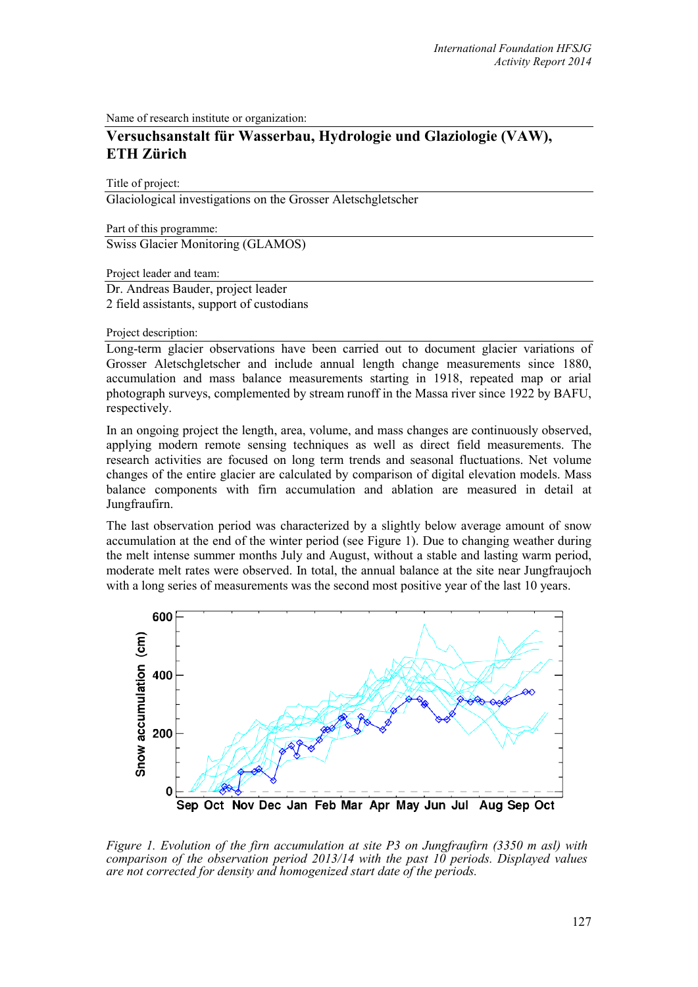Name of research institute or organization:

## **Versuchsanstalt für Wasserbau, Hydrologie und Glaziologie (VAW), ETH Zürich**

Title of project:

Glaciological investigations on the Grosser Aletschgletscher

Part of this programme: Swiss Glacier Monitoring (GLAMOS)

Project leader and team:

Dr. Andreas Bauder, project leader 2 field assistants, support of custodians

Project description:

Long-term glacier observations have been carried out to document glacier variations of Grosser Aletschgletscher and include annual length change measurements since 1880, accumulation and mass balance measurements starting in 1918, repeated map or arial photograph surveys, complemented by stream runoff in the Massa river since 1922 by BAFU, respectively.

In an ongoing project the length, area, volume, and mass changes are continuously observed, applying modern remote sensing techniques as well as direct field measurements. The research activities are focused on long term trends and seasonal fluctuations. Net volume changes of the entire glacier are calculated by comparison of digital elevation models. Mass balance components with firn accumulation and ablation are measured in detail at Jungfraufirn.

The last observation period was characterized by a slightly below average amount of snow accumulation at the end of the winter period (see Figure 1). Due to changing weather during the melt intense summer months July and August, without a stable and lasting warm period, moderate melt rates were observed. In total, the annual balance at the site near Jungfraujoch with a long series of measurements was the second most positive year of the last 10 years.



*Figure 1. Evolution of the firn accumulation at site P3 on Jungfraufirn (3350 m asl) with comparison of the observation period 2013/14 with the past 10 periods. Displayed values are not corrected for density and homogenized start date of the periods.*